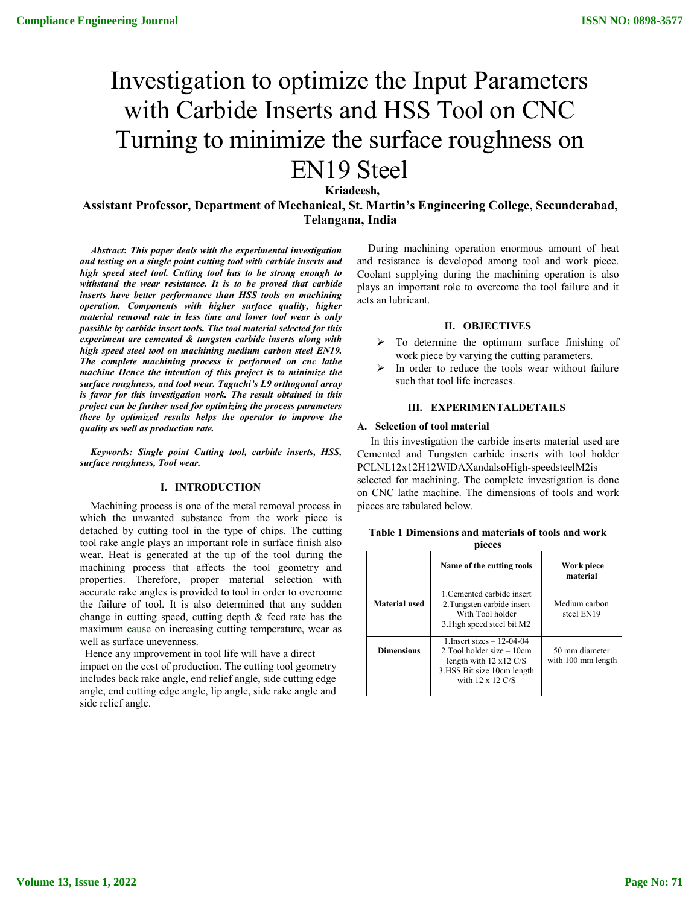# Investigation to optimize the Input Parameters with Carbide Inserts and HSS Tool on CNC Turning to minimize the surface roughness on EN19 Steel

**Kriadeesh,**

**Assistant Professor, Department of Mechanical, St. Martin's Engineering College, Secunderabad, Telangana, India**

*Abstract***:** *This paper deals with the experimental investigation and testing on a single point cutting tool with carbide inserts and high speed steel tool. Cutting tool has to be strong enough to withstand the wear resistance. It is to be proved that carbide inserts have better performance than HSS tools on machining operation. Components with higher surface quality, higher material removal rate in less time and lower tool wear is only possible by carbide insert tools. The tool material selected for this experiment are cemented & tungsten carbide inserts along with high speed steel tool on machining medium carbon steel EN19. The complete machining process is performed on cnc lathe machine Hence the intention of this project is to minimize the surface roughness, and tool wear. Taguchi's L9 orthogonal array is favor for this investigation work. The result obtained in this project can be further used for optimizing the process parameters there by optimized results helps the operator to improve the quality as well as production rate.*

*Keywords: Single point Cutting tool, carbide inserts, HSS, surface roughness, Tool wear.*

#### **I. INTRODUCTION**

Machining process is one of the metal removal process in which the unwanted substance from the work piece is detached by cutting tool in the type of chips. The cutting tool rake angle plays an important role in surface finish also wear. Heat is generated at the tip of the tool during the machining process that affects the tool geometry and properties. Therefore, proper material selection with accurate rake angles is provided to tool in order to overcome the failure of tool. It is also determined that any sudden change in cutting speed, cutting depth & feed rate has the maximum cause on increasing cutting temperature, wear as well as surface unevenness.

Hence any improvement in tool life will have a direct impact on the cost of production. The cutting tool geometry includes back rake angle, end relief angle, side cutting edge angle, end cutting edge angle, lip angle, side rake angle and side relief angle.

During machining operation enormous amount of heat and resistance is developed among tool and work piece. Coolant supplying during the machining operation is also plays an important role to overcome the tool failure and it acts an lubricant.

## **II. OBJECTIVES**

- $\triangleright$  To determine the optimum surface finishing of work piece by varying the cutting parameters.
- In order to reduce the tools wear without failure such that tool life increases.

## **III. EXPERIMENTALDETAILS**

#### **A. Selection of tool material**

In this investigation the carbide inserts material used are Cemented and Tungsten carbide inserts with tool holder PCLNL12x12H12WIDAXandalsoHigh-speedsteelM2is selected for machining. The complete investigation is done on CNC lathe machine. The dimensions of tools and work pieces are tabulated below.

| Table 1 Dimensions and materials of tools and work |  |  |  |  |  |  |  |  |  |
|----------------------------------------------------|--|--|--|--|--|--|--|--|--|
|----------------------------------------------------|--|--|--|--|--|--|--|--|--|

| pieces            |                                                                                                                                                                  |                                      |  |  |  |  |
|-------------------|------------------------------------------------------------------------------------------------------------------------------------------------------------------|--------------------------------------|--|--|--|--|
|                   | Name of the cutting tools                                                                                                                                        | Work piece<br>material               |  |  |  |  |
| Material used     | 1. Cemented carbide insert<br>2. Tungsten carbide insert<br>With Tool holder<br>3. High speed steel bit M2                                                       | Medium carbon<br>steel EN19          |  |  |  |  |
| <b>Dimensions</b> | 1. Insert sizes $-12-04-04$<br>$2.$ Tool holder size $-10$ cm<br>length with $12 \times 12 \text{ C/S}$<br>3.HSS Bit size 10cm length<br>with $12 \times 12$ C/S | 50 mm diameter<br>with 100 mm length |  |  |  |  |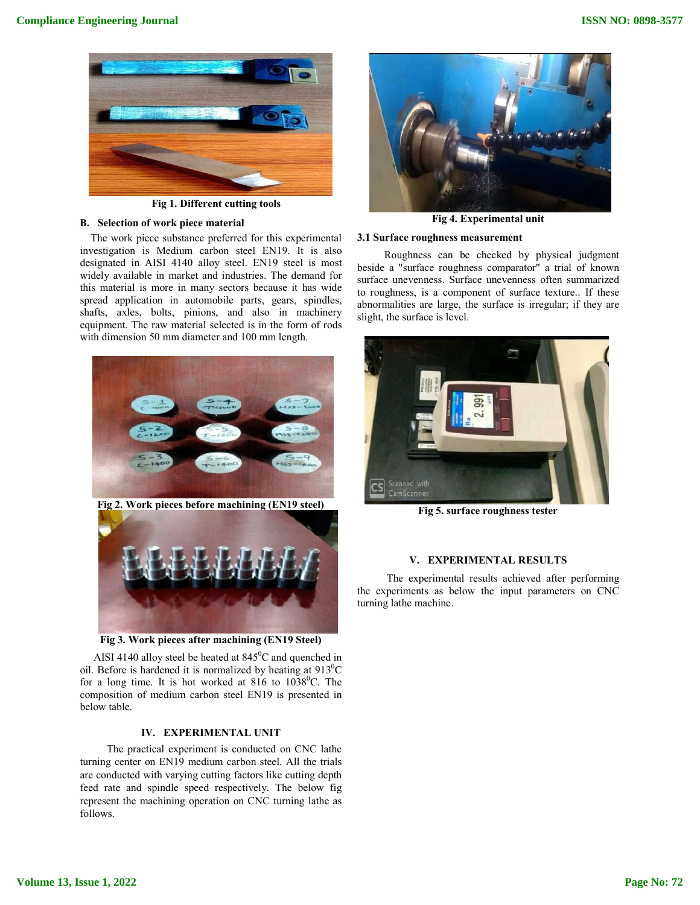

**Fig 1. Different cutting tools**

## **B. Selection of work piece material**

The work piece substance preferred for this experimental investigation is Medium carbon steel EN19. It is also designated in AISI 4140 alloy steel. EN19 steel is most widely available in market and industries. The demand for this material is more in many sectors because it has wide spread application in automobile parts, gears, spindles, shafts, axles, bolts, pinions, and also in machinery equipment. The raw material selected is in the form of rods with dimension 50 mm diameter and 100 mm length.





**Fig 3. Work pieces after machining (EN19 Steel)**

AISI 4140 alloy steel be heated at  $845^{\circ}$ C and quenched in oil. Before is hardened it is normalized by heating at  $913^0C$ for a long time. It is hot worked at  $816$  to  $1038^0C$ . The composition of medium carbon steel EN19 is presented in below table.

## **IV. EXPERIMENTAL UNIT**

The practical experiment is conducted on CNC lathe turning center on EN19 medium carbon steel. All the trials are conducted with varying cutting factors like cutting depth feed rate and spindle speed respectively. The below fig represent the machining operation on CNC turning lathe as follows.



**Fig 4. Experimental unit**

## **3.1 Surface roughness measurement**

Roughness can be checked by physical judgment beside a "surface roughness comparator" a trial of known surface unevenness. Surface unevenness often summarized to roughness, is a component of surface texture.. If these abnormalities are large, the surface is irregular; if they are slight, the surface is level.



**Fig 5. surface roughness tester**

## **V. EXPERIMENTAL RESULTS**

The experimental results achieved after performing the experiments as below the input parameters on CNC turning lathe machine.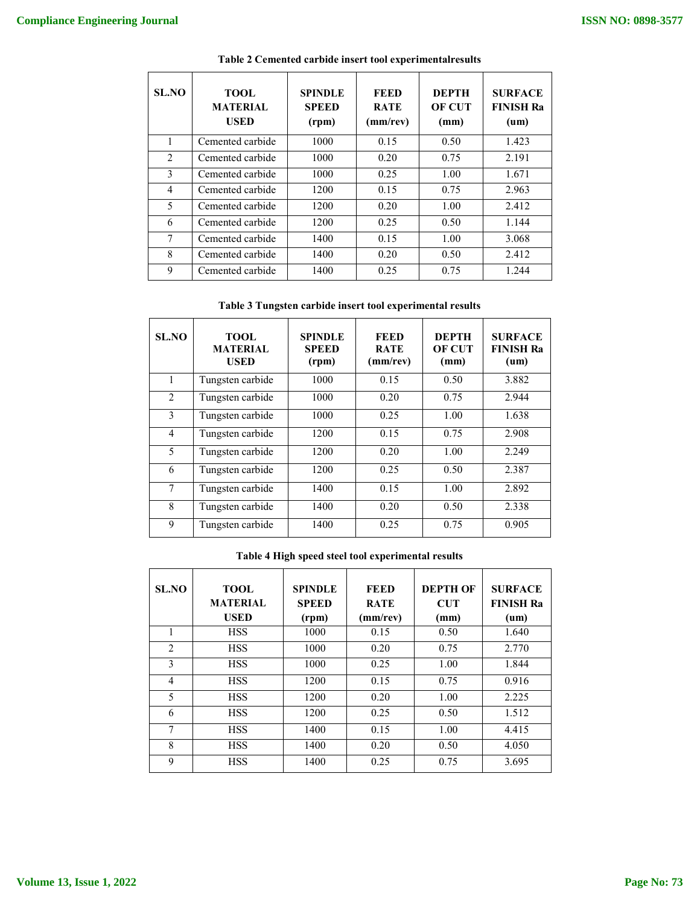| SL.NO        | <b>TOOL</b><br><b>MATERIAL</b><br><b>USED</b> | <b>SPINDLE</b><br><b>SPEED</b><br>(rpm) | FEED<br><b>RATE</b><br>(mm/rev) | <b>DEPTH</b><br><b>OF CUT</b><br>(mm) | <b>SURFACE</b><br><b>FINISH Ra</b><br>$(u_m)$ |
|--------------|-----------------------------------------------|-----------------------------------------|---------------------------------|---------------------------------------|-----------------------------------------------|
| $\mathbf{1}$ | Cemented carbide                              | 1000                                    | 0.15                            | 0.50                                  | 1.423                                         |
| 2            | Cemented carbide                              | 1000                                    | 0.20                            | 0.75                                  | 2.191                                         |
| 3            | Cemented carbide                              | 1000                                    | 0.25                            | 1.00                                  | 1.671                                         |
| 4            | Cemented carbide                              | 1200                                    | 0.15                            | 0.75                                  | 2.963                                         |
| 5            | Cemented carbide                              | 1200                                    | 0.20                            | 1.00                                  | 2.412                                         |
| 6            | Cemented carbide                              | 1200                                    | 0.25                            | 0.50                                  | 1.144                                         |
| 7            | Cemented carbide                              | 1400                                    | 0.15                            | 1.00                                  | 3.068                                         |
| 8            | Cemented carbide                              | 1400                                    | 0.20                            | 0.50                                  | 2.412                                         |
| 9            | Cemented carbide                              | 1400                                    | 0.25                            | 0.75                                  | 1.244                                         |

**Table 2 Cemented carbide insert tool experimentalresults**

**Table 3 Tungsten carbide insert tool experimental results**

| SL.NO          | <b>TOOL</b><br><b>MATERIAL</b><br><b>USED</b> | <b>SPINDLE</b><br><b>SPEED</b><br>(rpm) | <b>FEED</b><br><b>RATE</b><br>(mm/rev) | <b>DEPTH</b><br><b>OF CUT</b><br>(mm) | <b>SURFACE</b><br><b>FINISH Ra</b><br>$(u_m)$ |
|----------------|-----------------------------------------------|-----------------------------------------|----------------------------------------|---------------------------------------|-----------------------------------------------|
| 1              | Tungsten carbide                              | 1000                                    | 0.15                                   | 0.50                                  | 3.882                                         |
| $\mathfrak{D}$ | Tungsten carbide                              | 1000                                    | 0.20                                   | 0.75                                  | 2.944                                         |
| 3              | Tungsten carbide                              | 1000                                    | 0.25                                   | 1.00                                  | 1.638                                         |
| $\overline{4}$ | Tungsten carbide                              | 1200                                    | 0.15                                   | 0.75                                  | 2.908                                         |
| 5              | Tungsten carbide                              | 1200                                    | 0.20                                   | 1.00                                  | 2.249                                         |
| 6              | Tungsten carbide                              | 1200                                    | 0.25                                   | 0.50                                  | 2.387                                         |
| 7              | Tungsten carbide                              | 1400                                    | 0.15                                   | 1.00                                  | 2.892                                         |
| 8              | Tungsten carbide                              | 1400                                    | 0.20                                   | 0.50                                  | 2.338                                         |
| 9              | Tungsten carbide                              | 1400                                    | 0.25                                   | 0.75                                  | 0.905                                         |

## **Table 4 High speed steel tool experimental results**

| SL.NO          | <b>TOOL</b><br><b>MATERIAL</b><br><b>USED</b> | <b>SPINDLE</b><br><b>SPEED</b><br>(rpm) | <b>FEED</b><br><b>RATE</b><br>(mm/rev) | <b>DEPTH OF</b><br><b>CUT</b><br>(mm) | <b>SURFACE</b><br><b>FINISH Ra</b><br>(um) |
|----------------|-----------------------------------------------|-----------------------------------------|----------------------------------------|---------------------------------------|--------------------------------------------|
| 1              | <b>HSS</b>                                    | 1000                                    | 0.15                                   | 0.50                                  | 1.640                                      |
| $\overline{2}$ | <b>HSS</b>                                    | 1000                                    | 0.20                                   | 0.75                                  | 2.770                                      |
| 3              | <b>HSS</b>                                    | 1000                                    | 0.25                                   | 1.00                                  | 1.844                                      |
| $\overline{4}$ | <b>HSS</b>                                    | 1200                                    | 0.15                                   | 0.75                                  | 0.916                                      |
| 5              | <b>HSS</b>                                    | 1200                                    | 0.20                                   | 1.00                                  | 2.225                                      |
| 6              | <b>HSS</b>                                    | 1200                                    | 0.25                                   | 0.50                                  | 1.512                                      |
| 7              | <b>HSS</b>                                    | 1400                                    | 0.15                                   | 1.00                                  | 4.415                                      |
| 8              | <b>HSS</b>                                    | 1400                                    | 0.20                                   | 0.50                                  | 4.050                                      |
| 9              | <b>HSS</b>                                    | 1400                                    | 0.25                                   | 0.75                                  | 3.695                                      |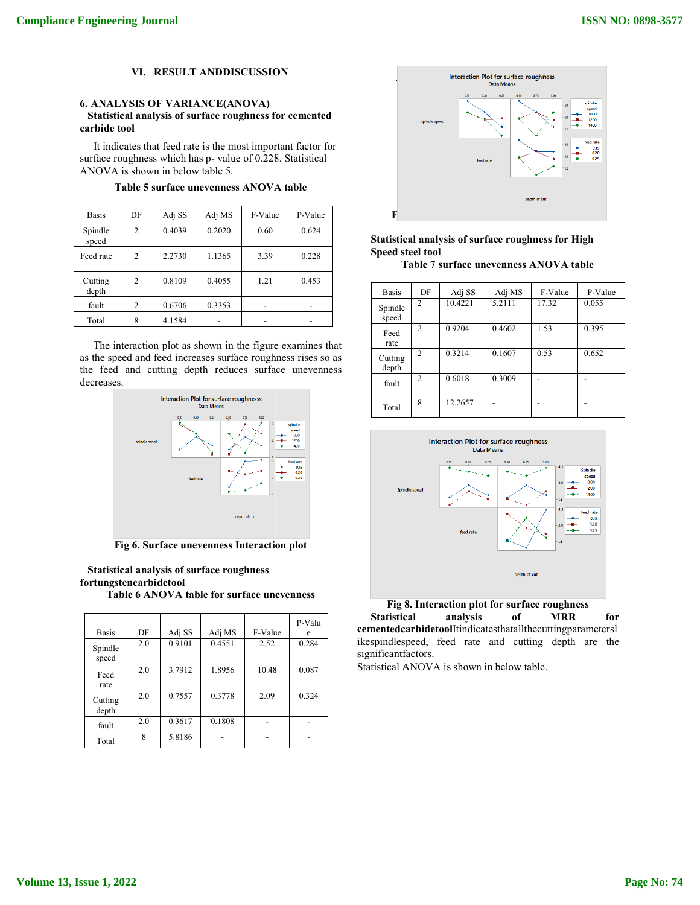## **VI. RESULT ANDDISCUSSION**

## **6. ANALYSIS OF VARIANCE(ANOVA) Statistical analysis of surface roughness for cemented carbide tool**

It indicates that feed rate is the most important factor for surface roughness which has p- value of 0.228. Statistical ANOVA is shown in below table 5*.*

Table 5 surface unevenness ANOVA table

| <b>Basis</b>     | DF | Adj SS | Adj MS | F-Value | P-Value |
|------------------|----|--------|--------|---------|---------|
| Spindle<br>speed | 2  | 0.4039 | 0.2020 | 0.60    | 0.624   |
| Feed rate        | 2  | 2.2730 | 1.1365 | 3.39    | 0.228   |
| Cutting<br>depth | 2  | 0.8109 | 0.4055 | 1.21    | 0.453   |
| fault            | 2  | 0.6706 | 0.3353 |         |         |
| Total            | 8  | 4.1584 |        |         |         |

The interaction plot as shown in the figure examines that as the speed and feed increases surface roughness rises so as the feed and cutting depth reduces surface unevenness decreases.



**Fig 6. Surface unevenness Interaction plot**

**Statistical analysis of surface roughness fortungstencarbidetool**

**Table 6 ANOVA table for surface unevenness**

|                  |     |        |        |         | P-Valu |
|------------------|-----|--------|--------|---------|--------|
| <b>Basis</b>     | DF  | Adj SS | Adj MS | F-Value | e      |
| Spindle<br>speed | 2.0 | 0.9101 | 0.4551 | 2.52    | 0.284  |
| Feed<br>rate     | 2.0 | 3.7912 | 1.8956 | 10.48   | 0.087  |
| Cutting<br>depth | 2.0 | 0.7557 | 0.3778 | 2.09    | 0.324  |
| fault            | 2.0 | 0.3617 | 0.1808 |         |        |
| Total            | 8   | 5.8186 |        |         |        |



## **Statistical analysis of surface roughness for High Speed steel tool**

**Table 7 surface unevenness ANOVA table**

| <b>Basis</b>     | DF             | Adj SS  | Adj MS | F-Value | P-Value |
|------------------|----------------|---------|--------|---------|---------|
| Spindle<br>speed | $\mathfrak{D}$ | 10.4221 | 5.2111 | 17.32   | 0.055   |
| Feed<br>rate     | $\overline{2}$ | 0.9204  | 0.4602 | 1.53    | 0.395   |
| Cutting<br>depth | $\mathfrak{D}$ | 0.3214  | 0.1607 | 0.53    | 0.652   |
| fault            | $\mathfrak{D}$ | 0.6018  | 0.3009 |         |         |
| Total            | 8              | 12.2657 |        |         |         |



**Fig 8. Interaction plot for surface roughness Statistical analysis of MRR for cementedcarbidetool**Itindicatesthatallthecuttingparametersl ikespindlespeed, feed rate and cutting depth are the significantfactors.

Statistical ANOVA is shown in below table.